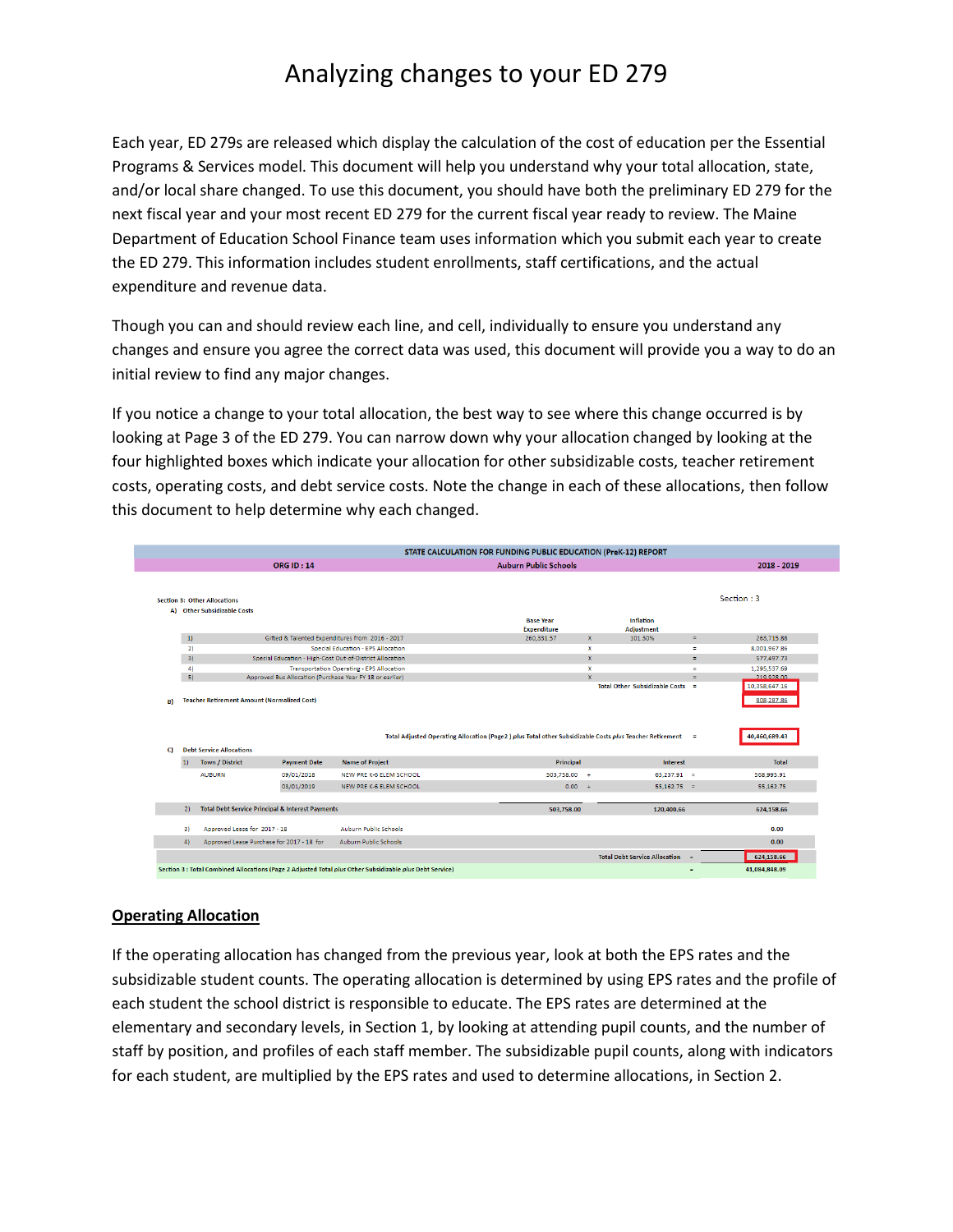Each year, ED 279s are released which display the calculation of the cost of education per the Essential Programs & Services model. This document will help you understand why your total allocation, state, and/or local share changed. To use this document, you should have both the preliminary ED 279 for the next fiscal year and your most recent ED 279 for the current fiscal year ready to review. The Maine Department of Education School Finance team uses information which you submit each year to create the ED 279. This information includes student enrollments, staff certifications, and the actual expenditure and revenue data.

Though you can and should review each line, and cell, individually to ensure you understand any changes and ensure you agree the correct data was used, this document will provide you a way to do an initial review to find any major changes.

If you notice a change to your total allocation, the best way to see where this change occurred is by looking at Page 3 of the ED 279. You can narrow down why your allocation changed by looking at the four highlighted boxes which indicate your allocation for other subsidizable costs, teacher retirement costs, operating costs, and debt service costs. Note the change in each of these allocations, then follow this document to help determine why each changed.

|                                             | <b>ORG ID: 14</b>                                           |                                                 | <b>Auburn Public Schools</b>                                                                              |              |                                       |              | 2018 - 2019                 |
|---------------------------------------------|-------------------------------------------------------------|-------------------------------------------------|-----------------------------------------------------------------------------------------------------------|--------------|---------------------------------------|--------------|-----------------------------|
|                                             |                                                             |                                                 |                                                                                                           |              |                                       |              |                             |
| <b>Section 3: Other Allocations</b>         |                                                             |                                                 |                                                                                                           |              |                                       |              | Section: 3                  |
| <b>Other Subsidizable Costs</b><br>A)       |                                                             |                                                 |                                                                                                           |              |                                       |              |                             |
|                                             |                                                             |                                                 | <b>Base Year</b><br><b>Expenditure</b>                                                                    |              | <b>Inflation</b><br><b>Adjustment</b> |              |                             |
| 1)                                          |                                                             | Gifted & Talented Expenditures from 2016 - 2017 | 260,331.57                                                                                                | $\mathbf{x}$ | 101.30%                               | $\equiv$     | 263,715.88                  |
| 2)                                          |                                                             | Special Education - EPS Allocation              |                                                                                                           | $\mathbf x$  |                                       | Ξ            | 8,001,967.86                |
| 3)                                          | Special Education - High-Cost Out-of-District Allocation    |                                                 |                                                                                                           | $\mathbf{x}$ |                                       | $\equiv$     | 577,497.73                  |
| $\overline{4}$                              | <b>Transportation Operating - EPS Allocation</b>            |                                                 | $\boldsymbol{\mathsf{x}}$                                                                                 |              | ÷                                     | 1.295.537.69 |                             |
| 5)                                          | Approved Bus Allocation (Purchase Year FY 18 or earlier)    |                                                 |                                                                                                           | $\mathbf{x}$ | Total Other Subsidizable Costs =      | ÷            | 219 928.00<br>10,358,647.16 |
|                                             | <b>Teacher Retirement Amount (Normalized Cost)</b>          |                                                 |                                                                                                           |              |                                       |              | 808,287.86                  |
|                                             |                                                             |                                                 | Total Adjusted Operating Allocation (Page2) plus Total other Subsidizable Costs plus Teacher Retirement = |              |                                       |              | 40,460,689.43               |
| B)<br><b>Debt Service Allocations</b><br>C) |                                                             |                                                 |                                                                                                           |              |                                       |              |                             |
| Town / District<br> 1)                      | <b>Payment Date</b>                                         | <b>Name of Project</b>                          | Principal                                                                                                 |              | <b>Interest</b>                       |              | <b>Total</b>                |
| <b>AUBURN</b>                               | 09/01/2018                                                  | NEW PRE K-6 ELEM SCHOOL                         | 503,758.00                                                                                                | $+$          | $65.237.91 =$                         |              | 568,995.91                  |
|                                             | 03/01/2019                                                  | NEW PRE K-6 ELEM SCHOOL                         | $0.00 +$                                                                                                  |              | $55.162.75 =$                         |              | 55.162.75                   |
| 2)                                          | <b>Total Debt Service Principal &amp; Interest Payments</b> |                                                 | 503,758.00                                                                                                |              | 120,400.66                            |              | 624,158.66                  |
| 31                                          | Approved Lease for 2017 - 18                                | <b>Auburn Public Schools</b>                    |                                                                                                           |              |                                       |              | 0.00                        |

## **Operating Allocation**

If the operating allocation has changed from the previous year, look at both the EPS rates and the subsidizable student counts. The operating allocation is determined by using EPS rates and the profile of each student the school district is responsible to educate. The EPS rates are determined at the elementary and secondary levels, in Section 1, by looking at attending pupil counts, and the number of staff by position, and profiles of each staff member. The subsidizable pupil counts, along with indicators for each student, are multiplied by the EPS rates and used to determine allocations, in Section 2.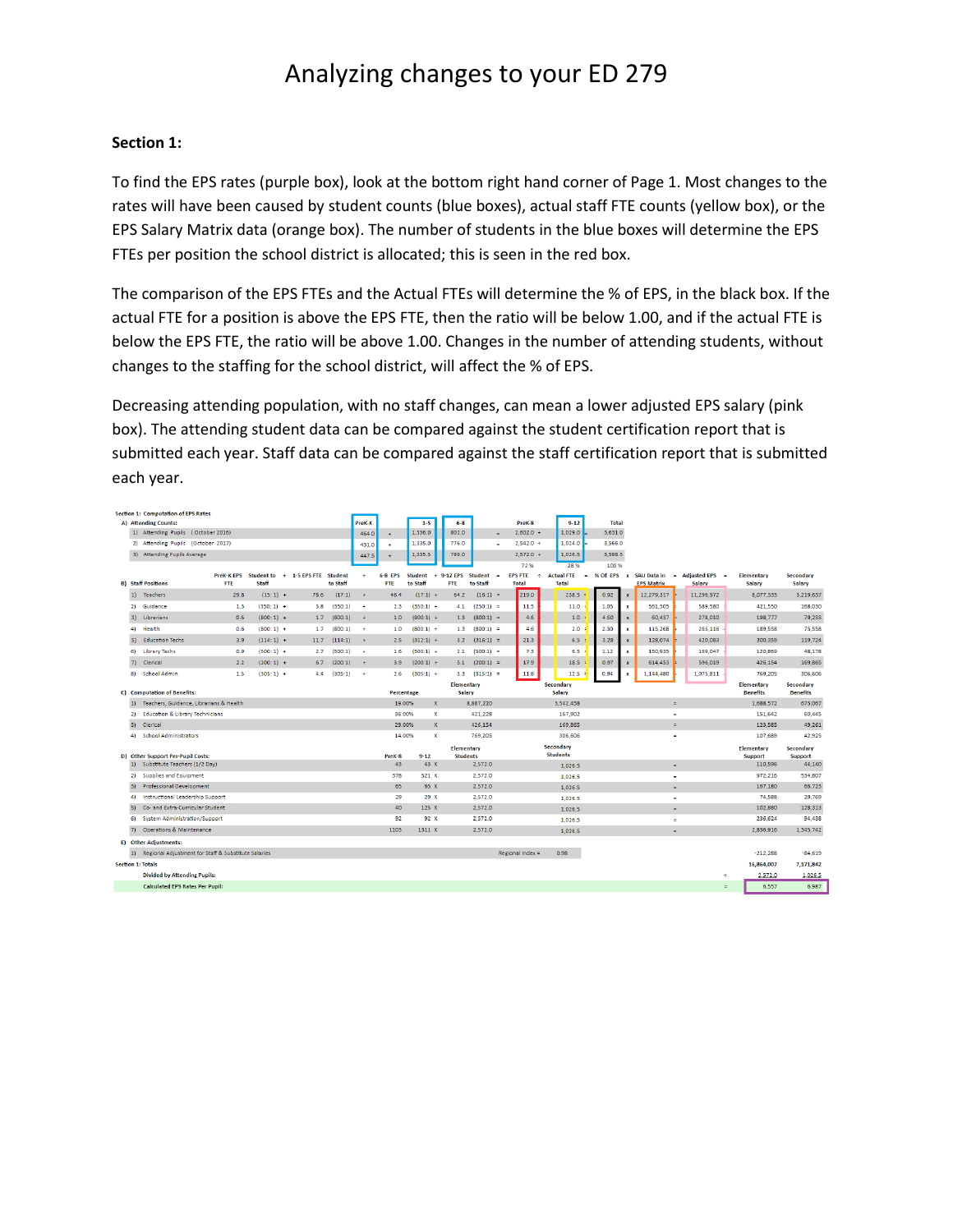### **Section 1:**

To find the EPS rates (purple box), look at the bottom right hand corner of Page 1. Most changes to the rates will have been caused by student counts (blue boxes), actual staff FTE counts (yellow box), or the EPS Salary Matrix data (orange box). The number of students in the blue boxes will determine the EPS FTEs per position the school district is allocated; this is seen in the red box.

The comparison of the EPS FTEs and the Actual FTEs will determine the % of EPS, in the black box. If the actual FTE for a position is above the EPS FTE, then the ratio will be below 1.00, and if the actual FTE is below the EPS FTE, the ratio will be above 1.00. Changes in the number of attending students, without changes to the staffing for the school district, will affect the % of EPS.

Decreasing attending population, with no staff changes, can mean a lower adjusted EPS salary (pink box). The attending student data can be compared against the student certification report that is submitted each year. Staff data can be compared against the staff certification report that is submitted each year.

|            | <b>Section 1: Computation of EPS Rates</b>                         |                                |                            |                   |                            |                      |                       |                            |                             |                                      |            |                                     |                              |        |              |                           |                                                   |          |                          |                             |                            |
|------------|--------------------------------------------------------------------|--------------------------------|----------------------------|-------------------|----------------------------|----------------------|-----------------------|----------------------------|-----------------------------|--------------------------------------|------------|-------------------------------------|------------------------------|--------|--------------|---------------------------|---------------------------------------------------|----------|--------------------------|-----------------------------|----------------------------|
|            | A) Attending Counts:                                               |                                |                            |                   |                            | PreK-K               |                       | $1 - 5$                    |                             | $6 - 8$                              |            | PreK-8                              | $9 - 12$                     |        | <b>Total</b> |                           |                                                   |          |                          |                             |                            |
|            | 1) Attending Pupils (October 2016)                                 |                                |                            |                   |                            | 464.0                | $\ddot{\phantom{1}}$  | 1,336.0                    |                             | 802.0                                | $\sim$     | $2,602.0 +$                         | 1.029.0                      |        | 3,631.0      |                           |                                                   |          |                          |                             |                            |
|            | 2) Attending Pupils (October 2017)                                 |                                |                            |                   |                            | 431.0                | ٠                     | 1,335.0                    |                             | 776.0                                |            | $2.542.0 +$                         | 1,024.0                      |        | 3,566.0      |                           |                                                   |          |                          |                             |                            |
|            | 3) Attending Pupils Average                                        |                                |                            |                   |                            | 447.5                |                       | 1,335.5                    |                             | 789.0                                |            | $2.572.0 +$                         | 1.026.5                      |        | 3.598.5      |                           |                                                   |          |                          |                             |                            |
|            |                                                                    |                                |                            |                   |                            |                      |                       |                            |                             |                                      |            | 72%                                 | 28%                          |        | 100 %        |                           |                                                   |          |                          |                             |                            |
|            | <b>B)</b> Staff Positions                                          | <b>PreK-KEPS</b><br><b>FTE</b> | <b>Student to</b><br>Staff | $+ 1 - 5$ EPS FTE | <b>Student</b><br>to Staff | $\ddot{\phantom{1}}$ | 6-8 EPS<br><b>FTE</b> | <b>Student</b><br>to Staff | 9-12 EPS<br>٠<br><b>FTE</b> | <b>Student</b><br>to Staff           |            | <b>EPS FTE</b><br>÷<br><b>Total</b> | <b>Actual FTE</b><br>Total   | $\sim$ | % Of EPS     | $\mathbf{x}$              | <b>SAU Data in</b><br>$\sim$<br><b>EPS Matrix</b> |          | Adjusted EPS =<br>Salary | <b>Elementary</b><br>Salary | <b>Secondary</b><br>Salary |
|            |                                                                    |                                |                            |                   |                            |                      |                       |                            |                             |                                      |            | 219.0                               |                              |        |              |                           |                                                   |          |                          |                             |                            |
| 1)         | <b>Teachers</b>                                                    | 29.8                           | $(15:1)$ +                 | 78.6              | (17:1)                     | $+$                  | 46.4                  | $(17:1) +$                 |                             | 64.2                                 | $(16:1) =$ |                                     | 238.5                        |        | 0.92         | $\boldsymbol{\mathsf{x}}$ | 12,279,317                                        |          | 11.296.972               | 8.077.335                   | 3,219,637                  |
| 21         | Guidance                                                           | 1.3                            | $(350:1) +$                | 3.8               | (350:1)                    | ÷                    | 2.3                   | $(350:1) +$                |                             | $(250:1) =$<br>4.1                   |            | 11.5                                | 11.0                         |        | 1.05         | $\mathbf x$               | 561,505                                           |          | 589.580                  | 421.550                     | 168,030                    |
| $\vert$ 3) | Librarians                                                         | 0.6                            | $(800:1) +$                | 1.7               | (800:1)                    | $\ddot{}$            | 1.0                   | $(800:1) +$                |                             | $(800:1) =$<br>1.3                   |            | 4.6                                 | 1.0                          |        | 4.60         | $\mathbf{x}$              | 60,437                                            |          | 278,010                  | 198,777                     | 79,233                     |
| 4)         | Health                                                             | 0.6                            | $(800:1) +$                | 1.7               | (800:1)                    | $\ddot{\phantom{1}}$ | 1.0                   | $(800:1) +$                |                             | $1.3$ $(800:1) =$                    |            | 4.6                                 | 2.0                          |        | 2.30         | $\boldsymbol{\mathsf{x}}$ | 115,268                                           |          | 265,116                  | 189,558                     | 75,558                     |
| 5)         | <b>Education Techs</b>                                             | 3.9                            | $(114:1) +$                | 11.7              | (114:1)                    | $+$                  | 2.5                   | $(312:1) +$                |                             | $3.2$ $(316:1) =$                    |            | 21.3                                | 6.5                          |        | 3.28         | $\mathbf{x}$              | 128.074                                           |          | 420,083                  | 300,359                     | 119,724                    |
| 61.        | <b>Library Techs</b>                                               | 0.9                            | $(500:1) +$                | 2.7               | (500:1)                    | ÷                    | 1.6                   | $(500:1) +$                |                             | $(500:1) =$<br>2.1                   |            | 7.3                                 | 6.5                          |        | 1.12         | $\mathbf{x}$              | 150.935                                           |          | 169.047                  | 120.869                     | 48.178                     |
| 7)         | Clerical                                                           | 2.2                            | $(200:1)$ +                | 6.7               | (200:1)                    | $\pm$                | 3.9                   | $(200:1) +$                |                             | $5.1$ $(200:1) =$                    |            | 17.9                                | 18.5                         |        | 0.97         | $\mathbf{x}$              | 614,453                                           |          | 596,019                  | 426,154                     | 169,865                    |
| 8)         | School Admin.                                                      | 1.5                            | $(305:1) +$                | 4.4               | (305:1)                    | $\ddot{\phantom{1}}$ | 2.6                   | $(305:1) +$                |                             | $3.3$ $(315:1) =$                    |            | 11.8                                | 12.5                         |        | 0.94         |                           | 1,144,480                                         |          | 1,075,811                | 769,205                     | 306,606                    |
|            |                                                                    |                                |                            |                   |                            |                      |                       |                            |                             | Elementary                           |            |                                     | <b>Secondary</b>             |        |              |                           |                                                   |          |                          | <b>Elementary</b>           | <b>Secondary</b>           |
|            | C) Computation of Benefits:                                        |                                |                            |                   |                            |                      | Percentage            |                            |                             | Salary                               |            |                                     | Salary                       |        |              |                           |                                                   |          |                          | <b>Benefits</b>             | <b>Benefits</b>            |
| 1)         | Teachers, Guidance, Librarians & Health                            |                                |                            |                   |                            |                      | 19.00%                |                            | $\mathbf{x}$                | 8.887.220                            |            |                                     | 3.542.458                    |        |              |                           | $\equiv$                                          |          |                          | 1.688.572                   | 673,067                    |
| 2)         | <b>Education &amp; Library Technicians</b>                         |                                |                            |                   |                            |                      | 36.00%                |                            | $\mathbf{x}$                | 421,228                              |            |                                     | 167,902                      |        |              |                           | $\blacksquare$                                    |          |                          | 151,642                     | 60,445                     |
| 31         | Clerical                                                           |                                |                            |                   |                            |                      | 29.00%                |                            | $\mathbf{x}$                | 426.154                              |            |                                     | 169,865                      |        |              |                           | $\equiv$                                          |          |                          | 123.585                     | 49.261                     |
| 4)         | <b>School Administrators</b>                                       |                                |                            |                   |                            |                      | 14.00%                |                            | $\mathbf{x}$                | 769,205                              |            |                                     | 306,606                      |        |              |                           | $\blacksquare$                                    |          |                          | 107,689                     | 42,925                     |
|            |                                                                    |                                |                            |                   |                            |                      | PreK-8                | $9 - 12$                   |                             | <b>Elementary</b><br><b>Students</b> |            |                                     | Secondary<br><b>Students</b> |        |              |                           |                                                   |          |                          | <b>Elementary</b>           | <b>Secondary</b>           |
| 1)         | D) Other Support Per-Pupil Costs:<br>Substitute Teachers (1/2 Day) |                                |                            |                   |                            |                      | 43                    | 43 X                       |                             | 2,572.0                              |            |                                     | 1.026.5                      |        |              |                           | $=$                                               |          |                          | Support<br>110,596          | <b>Support</b><br>44,140   |
| 2)         | Supplies and Equipment                                             |                                |                            |                   |                            |                      | 378                   | 521 X                      |                             | 2,572.0                              |            |                                     | 1.026.5                      |        |              |                           | $\blacksquare$                                    |          |                          | 972,216                     | 534,807                    |
| 31         | <b>Professional Development</b>                                    |                                |                            |                   |                            |                      | 65                    | 65 X                       |                             | 2,572.0                              |            |                                     | 1,026.5                      |        |              |                           | $\equiv$                                          |          |                          | 167,180                     | 66,723                     |
| 4)         | Instructional Leadership Support                                   |                                |                            |                   |                            |                      | 29                    | 29X                        |                             | 2,572.0                              |            |                                     | 1.026.5                      |        |              |                           | ٠                                                 |          |                          | 74,588                      | 29,769                     |
| 51         | Co- and Extra-Curricular Student                                   |                                |                            |                   |                            |                      | 40                    | 125 X                      |                             | 2.572.0                              |            |                                     | 1,026.5                      |        |              |                           | $\equiv$                                          |          |                          | 102,880                     | 128,313                    |
| 6)         | <b>System Administration/Support</b>                               |                                |                            |                   |                            |                      | 92                    | 92 X                       |                             | 2,572.0                              |            |                                     | 1.026.5                      |        |              |                           | $\blacksquare$                                    |          |                          | 236,624                     | 94,438                     |
| 7)         | <b>Operations &amp; Maintenance</b>                                |                                |                            |                   |                            |                      | 1103                  | 1311 X                     |                             | 2.572.0                              |            |                                     | 1,026.5                      |        |              |                           |                                                   | $\equiv$ |                          | 2.836.916                   | 1,345,742                  |
|            | <b>E)</b> Other Adjustments:                                       |                                |                            |                   |                            |                      |                       |                            |                             |                                      |            |                                     |                              |        |              |                           |                                                   |          |                          |                             |                            |
| 1)         | Regional Adjustment for Staff & Substitute Salaries                |                                |                            |                   |                            |                      |                       |                            |                             |                                      |            | Regional Index =                    | 0.98                         |        |              |                           |                                                   |          |                          | $-212.288$                  | $-84.619$                  |
|            | <b>Section 1: Totals</b>                                           |                                |                            |                   |                            |                      |                       |                            |                             |                                      |            |                                     |                              |        |              |                           |                                                   |          |                          | 16,864,007                  | 7,171,842                  |
|            | <b>Divided by Attending Pupils:</b>                                |                                |                            |                   |                            |                      |                       |                            |                             |                                      |            |                                     |                              |        |              |                           |                                                   |          | ÷                        | 2,572.0                     |                            |
|            | <b>Calculated EPS Rates Per Pupil:</b>                             |                                |                            |                   |                            |                      |                       |                            |                             |                                      |            |                                     |                              |        |              |                           |                                                   |          | $\equiv$                 | 6.557                       | 1,026.5<br>6.987           |
|            |                                                                    |                                |                            |                   |                            |                      |                       |                            |                             |                                      |            |                                     |                              |        |              |                           |                                                   |          |                          |                             |                            |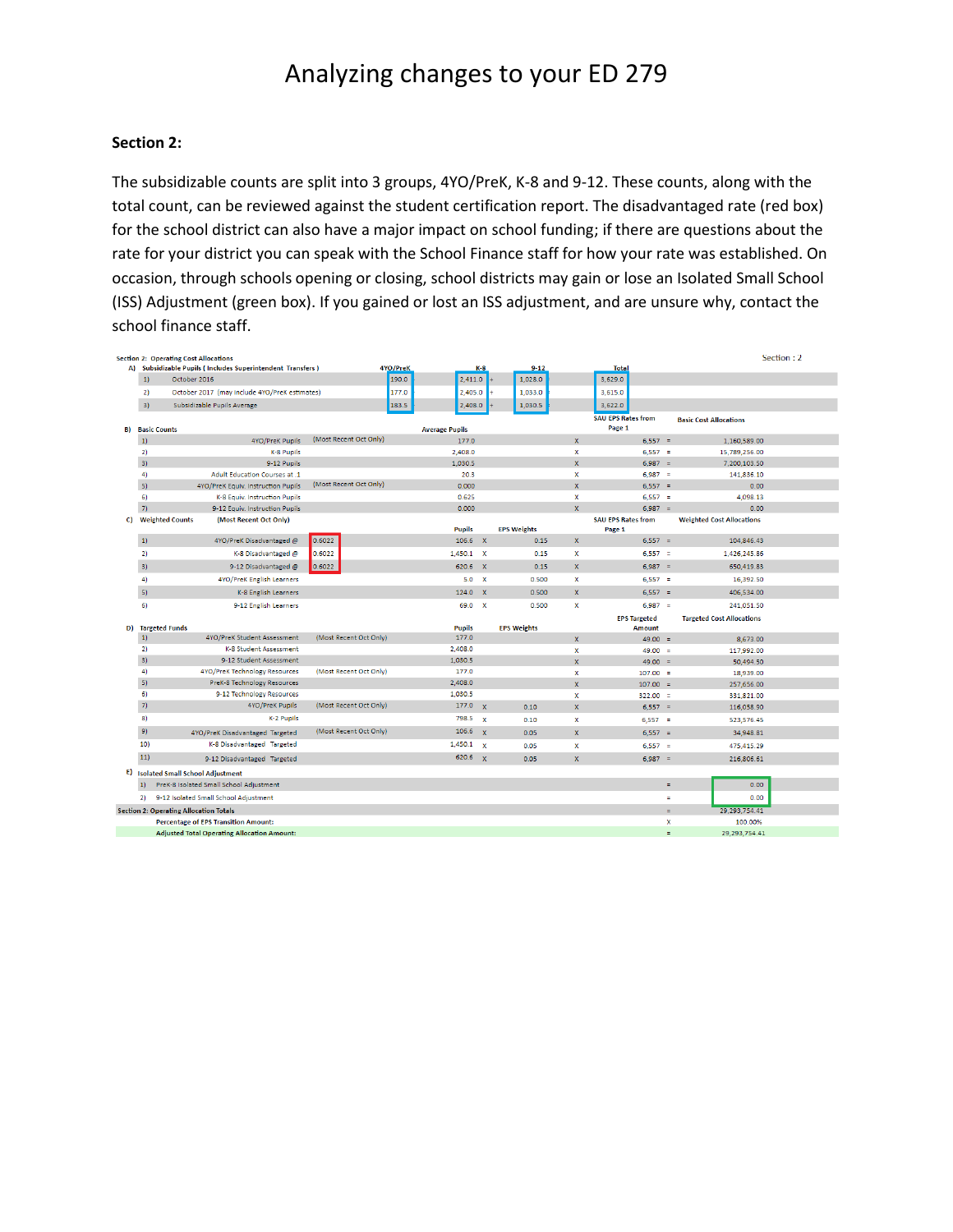### **Section 2:**

The subsidizable counts are split into 3 groups, 4YO/PreK, K-8 and 9-12. These counts, along with the total count, can be reviewed against the student certification report. The disadvantaged rate (red box) for the school district can also have a major impact on school funding; if there are questions about the rate for your district you can speak with the School Finance staff for how your rate was established. On occasion, through schools opening or closing, school districts may gain or lose an Isolated Small School (ISS) Adjustment (green box). If you gained or lost an ISS adjustment, and are unsure why, contact the school finance staff.

|     |             | <b>Section 2: Operating Cost Allocations</b>               |                        |                       |              |                    |                           |                           |     |                                  | Section: 2 |
|-----|-------------|------------------------------------------------------------|------------------------|-----------------------|--------------|--------------------|---------------------------|---------------------------|-----|----------------------------------|------------|
|     |             | A) Subsidizable Pupils (Includes Superintendent Transfers) | 4YO/PreK               |                       | $K-8$        | $9 - 12$           |                           | <b>Total</b>              |     |                                  |            |
|     | 1)          | October 2016                                               | 190.0                  | 2,411.0               |              | 1,028.0            |                           | 3,629.0                   |     |                                  |            |
|     | 2)          | October 2017 (may include 4YO/PreK estimates)              | 177.0                  | 2,405.0               |              | 1,033.0            |                           | 3,615.0                   |     |                                  |            |
|     | 3)          | Subsidizable Pupils Average                                | 183.5                  | 2,408.0               |              | 1,030.5            |                           | 3,622.0                   |     |                                  |            |
|     |             |                                                            |                        |                       |              |                    |                           | <b>SAU EPS Rates from</b> |     | <b>Basic Cost Allocations</b>    |            |
| B)  |             | <b>Basic Counts</b>                                        |                        | <b>Average Pupils</b> |              |                    |                           | Page 1                    |     |                                  |            |
|     | $ 1\rangle$ | 4YO/PreK Pupils                                            | (Most Recent Oct Only) | 177.0                 |              |                    | $\mathbf{x}$              | $6.557 =$                 |     | 1.160.589.00                     |            |
|     | 2)          | K-8 Pupils                                                 |                        | 2,408.0               |              |                    | X                         | $6,557 =$                 |     | 15,789,256.00                    |            |
|     | 3)          | 9-12 Pupils                                                |                        | 1.030.5               |              |                    | $\overline{\mathbf{x}}$   | $6.987 =$                 |     | 7,200,103.50                     |            |
|     | 4)          | Adult Education Courses at .1                              |                        | 20.3                  |              |                    | x                         | $6,987 =$                 |     | 141,836.10                       |            |
|     | 5)          | 4YO/PreK Equiv. Instruction Pupils                         | (Most Recent Oct Only) | 0.000                 |              |                    | $\overline{\mathbf{x}}$   | $6,557 =$                 |     | 0.00                             |            |
|     | 6)          | K-8 Equiv. Instruction Pupils                              |                        | 0.625                 |              |                    | $\mathbf x$               | $6,557 =$                 |     | 4.098.13                         |            |
|     | 7)          | 9-12 Equiv. Instruction Pupils                             |                        | 0.000                 |              |                    | $\mathbf{x}$              | $6.987 =$                 |     | 0.00                             |            |
| C). |             | <b>Weighted Counts</b><br>(Most Recent Oct Only)           |                        |                       |              |                    |                           | <b>SAU EPS Rates from</b> |     | <b>Weighted Cost Allocations</b> |            |
|     |             |                                                            |                        | <b>Pupils</b>         |              | <b>EPS Weights</b> |                           | Page 1                    |     |                                  |            |
|     | $ 1\rangle$ | 4YO/PreK Disadvantaged @                                   | 0.6022                 | 106.6 X               |              | 0.15               | $\mathbf{x}$              | $6.557 =$                 |     | 104.846.43                       |            |
|     | 2)          | K-8 Disadvantaged @                                        | 0.6022                 | $1,450.1$ X           |              | 0.15               | $\boldsymbol{\mathsf{x}}$ | $6,557 =$                 |     | 1,426,245.86                     |            |
|     | 3)          | 9-12 Disadvantaged @                                       | 0.6022                 | 620.6 X               |              | 0.15               | $\mathbf{x}$              | $6.987 =$                 |     | 650.419.83                       |            |
|     | 4)          | 4YO/PreK English Learners                                  |                        | 5.0 X                 |              | 0.500              | $\mathbf{x}$              | $6,557 =$                 |     | 16,392.50                        |            |
|     | 5)          | K-8 English Learners                                       |                        | 124.0 X               |              | 0.500              | x                         | $6,557 =$                 |     | 406,534.00                       |            |
|     | 6)          | 9-12 English Learners                                      |                        | 69.0 X                |              | 0.500              | $\mathbf x$               | $6,987 =$                 |     | 241,051.50                       |            |
|     |             |                                                            |                        |                       |              |                    |                           | <b>EPS Targeted</b>       |     | <b>Targeted Cost Allocations</b> |            |
| D)  |             | <b>Targeted Funds</b>                                      |                        | <b>Pupils</b>         |              | <b>EPS Weights</b> |                           | <b>Amount</b>             |     |                                  |            |
|     | 1)          | 4YO/PreK Student Assessment                                | (Most Recent Oct Only) | 177.0                 |              |                    | $\mathbf{x}$              | $49.00 =$                 |     | 8,673.00                         |            |
|     | 2)          | K-8 Student Assessment                                     |                        | 2,408.0               |              |                    | $\mathbf{x}$              | $49.00 =$                 |     | 117,992.00                       |            |
|     | 3)          | 9-12 Student Assessment                                    |                        | 1,030.5               |              |                    | $\overline{\mathbf{x}}$   | $49.00 =$                 |     | 50,494.50                        |            |
|     | 4)          | 4YO/PreK Technology Resources                              | (Most Recent Oct Only) | 177.0                 |              |                    | x                         | $107.00 =$                |     | 18,939.00                        |            |
|     | 5)          | PreK-8 Technology Resources                                |                        | 2.408.0               |              |                    | $\mathbf{x}$              | $107.00 =$                |     | 257,656.00                       |            |
|     | 6)          | 9-12 Technology Resources                                  |                        | 1,030.5               |              |                    | $\boldsymbol{\mathsf{x}}$ | $322.00 =$                |     | 331,821.00                       |            |
|     | 7)          | 4YO/PreK Pupils                                            | (Most Recent Oct Only) | 177.0                 | $\mathbf{x}$ | 0.10               | $\mathbf{x}$              | $6,557 =$                 |     | 116,058.90                       |            |
|     | 8)          | K-2 Pupils                                                 |                        | 798.5                 | $\mathbf{x}$ | 0.10               | $\mathbf x$               | $6,557 =$                 |     | 523,576.45                       |            |
|     | 9)          | 4YO/PreK Disadvantaged Targeted                            | (Most Recent Oct Only) | 106.6                 | $\mathbf{x}$ | 0.05               | $\mathbf x$               | $6,557 =$                 |     | 34,948.81                        |            |
|     | 10)         | K-8 Disadvantaged Targeted                                 |                        | 1,450.1               | $\mathbf{x}$ | 0.05               | x                         | $6,557 =$                 |     | 475,415.29                       |            |
|     | 11)         | 9-12 Disadvantaged Targeted                                |                        | 620.6 $\times$        |              | 0.05               | $\mathbf x$               | $6,987 =$                 |     | 216,806.61                       |            |
| E)  |             | <b>Isolated Small School Adjustment</b>                    |                        |                       |              |                    |                           |                           |     |                                  |            |
|     | 1)          | PreK-8 Isolated Small School Adjustment                    |                        |                       |              |                    |                           |                           | Ξ   | 0.00                             |            |
|     | 2)          | 9-12 Isolated Small School Adjustment                      |                        |                       |              |                    |                           |                           | Ξ   | 0.00                             |            |
|     |             | <b>Section 2: Operating Allocation Totals</b>              |                        |                       |              |                    |                           |                           | $=$ | 29, 293, 754, 41                 |            |
|     |             | <b>Percentage of EPS Transition Amount:</b>                |                        |                       |              |                    |                           |                           | x   | 100.00%                          |            |
|     |             | <b>Adjusted Total Operating Allocation Amount:</b>         |                        |                       |              |                    |                           |                           | Ξ   | 29.293.754.41                    |            |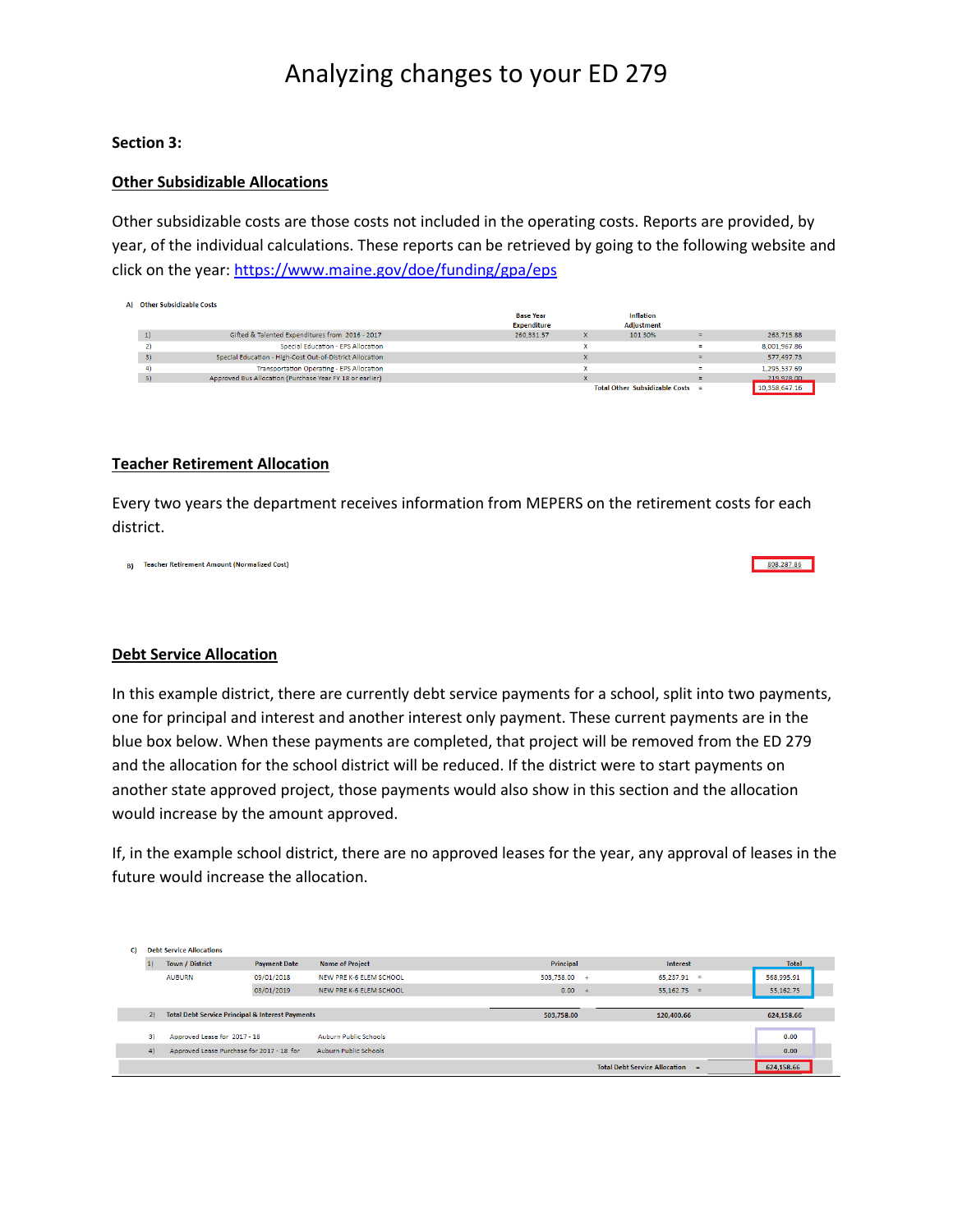## **Section 3:**

## **Other Subsidizable Allocations**

Other subsidizable costs are those costs not included in the operating costs. Reports are provided, by year, of the individual calculations. These reports can be retrieved by going to the following website and click on the year:<https://www.maine.gov/doe/funding/gpa/eps>

| A) Other Subsidizable Costs |                                                          |                    |   |                                    |          |               |
|-----------------------------|----------------------------------------------------------|--------------------|---|------------------------------------|----------|---------------|
|                             |                                                          | <b>Base Year</b>   |   | <b>Inflation</b>                   |          |               |
|                             |                                                          | <b>Expenditure</b> |   | <b>Adjustment</b>                  |          |               |
| 1)                          | Gifted & Talented Expenditures from 2016 - 2017          | 260,331.57         | x | 101.30%                            | Ξ        | 263,715.88    |
|                             | Special Education - EPS Allocation                       |                    |   |                                    | Ξ        | 8,001,967.86  |
| 3)                          | Special Education - High-Cost Out-of-District Allocation |                    |   |                                    | Ξ        | 577,497.73    |
| 4)                          | Transportation Operating - EPS Allocation                |                    |   |                                    | Ξ.       | 1.295.537.69  |
| 5)                          | Approved Bus Allocation (Purchase Year FY 18 or earlier) |                    | × |                                    | $\equiv$ | 219 928 00    |
|                             |                                                          |                    |   | Total Other Subsidizable Costs $=$ |          | 10,358,647.16 |

#### **Teacher Retirement Allocation**

Every two years the department receives information from MEPERS on the retirement costs for each district.

808,287.86

B) Teacher Retirement Amount (Normalized Cost)

#### **Debt Service Allocation**

In this example district, there are currently debt service payments for a school, split into two payments, one for principal and interest and another interest only payment. These current payments are in the blue box below. When these payments are completed, that project will be removed from the ED 279 and the allocation for the school district will be reduced. If the district were to start payments on another state approved project, those payments would also show in this section and the allocation would increase by the amount approved.

If, in the example school district, there are no approved leases for the year, any approval of leases in the future would increase the allocation.

| C) | <b>Debt Service Allocations</b>                             |                     |                              |                  |                      |              |
|----|-------------------------------------------------------------|---------------------|------------------------------|------------------|----------------------|--------------|
| 1  | <b>Town / District</b>                                      | <b>Payment Date</b> | <b>Name of Project</b>       | <b>Principal</b> | <b>Interest</b>      | <b>Total</b> |
|    | <b>AUBURN</b>                                               | 09/01/2018          | NEW PRE K-6 ELEM SCHOOL      | $503.758.00 +$   | $65.237.91 =$        | 568.995.91   |
|    |                                                             | 03/01/2019          | NEW PRE K-6 ELEM SCHOOL      | 0.00             | $55.162.75 =$<br>$+$ | 55,162.75    |
|    |                                                             |                     |                              |                  |                      |              |
| 2) | <b>Total Debt Service Principal &amp; Interest Payments</b> |                     |                              |                  |                      |              |
|    |                                                             |                     |                              | 503,758.00       | 120,400.66           | 624,158.66   |
|    |                                                             |                     |                              |                  |                      |              |
| 3) | Approved Lease for 2017 - 18                                |                     | Auburn Public Schools        |                  |                      | 0.00         |
| 4) | Approved Lease Purchase for 2017 - 18 for                   |                     | <b>Auburn Public Schools</b> |                  |                      | 0.00         |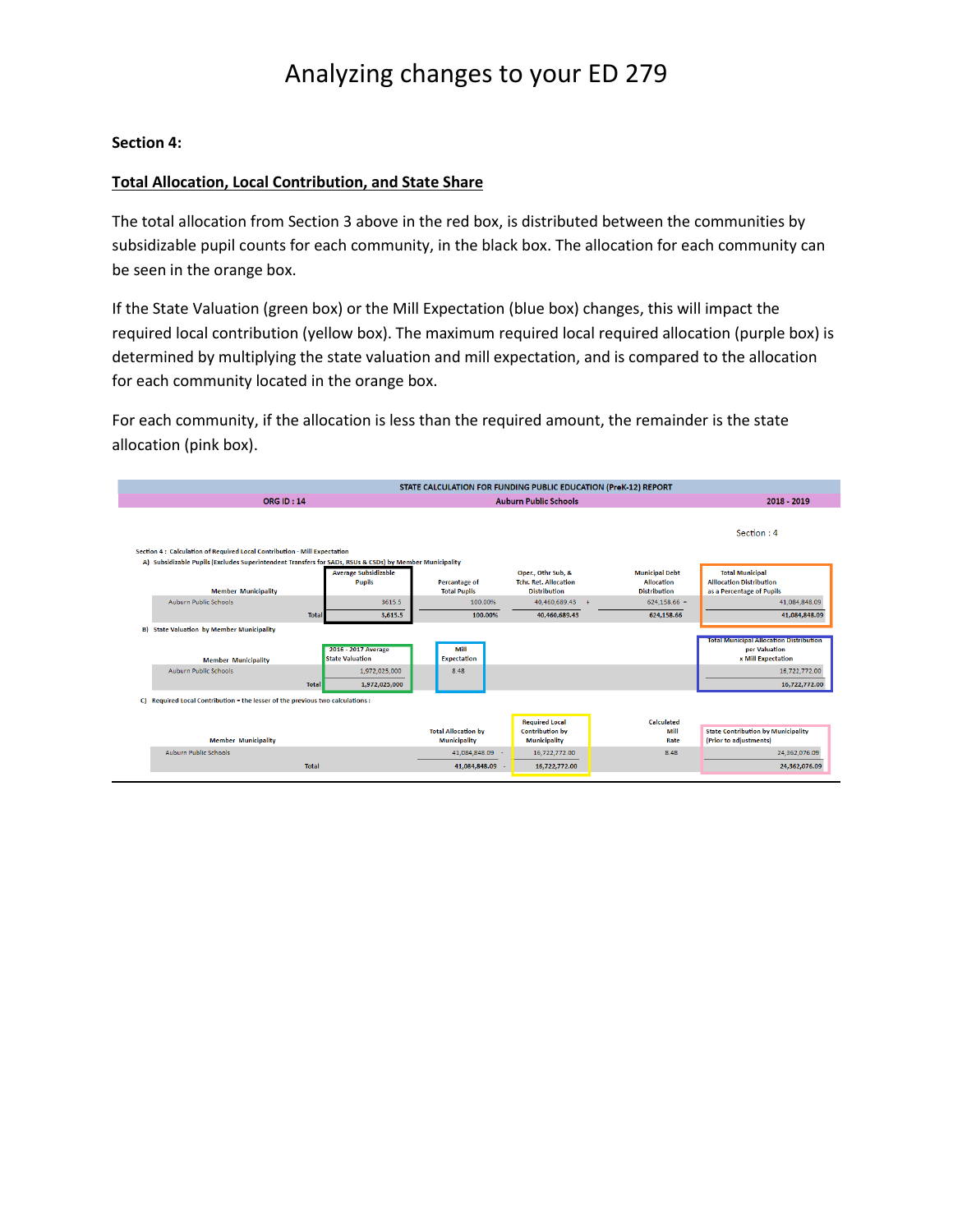## **Section 4:**

## **Total Allocation, Local Contribution, and State Share**

The total allocation from Section 3 above in the red box, is distributed between the communities by subsidizable pupil counts for each community, in the black box. The allocation for each community can be seen in the orange box.

If the State Valuation (green box) or the Mill Expectation (blue box) changes, this will impact the required local contribution (yellow box). The maximum required local required allocation (purple box) is determined by multiplying the state valuation and mill expectation, and is compared to the allocation for each community located in the orange box.

For each community, if the allocation is less than the required amount, the remainder is the state allocation (pink box).

| <b>ORG ID: 14</b>                                                                                       |                                                | <b>Auburn Public Schools</b>                      | 2018 - 2019                                                               |                                                                   |                                                                                              |
|---------------------------------------------------------------------------------------------------------|------------------------------------------------|---------------------------------------------------|---------------------------------------------------------------------------|-------------------------------------------------------------------|----------------------------------------------------------------------------------------------|
|                                                                                                         |                                                |                                                   |                                                                           |                                                                   | Section: 4                                                                                   |
| Section 4: Calculation of Required Local Contribution - Mill Expectation                                |                                                |                                                   |                                                                           |                                                                   |                                                                                              |
| A) Subsidizable Pupils (Excludes Superintendent Transfers for SADs, RSUs & CSDs) by Member Municipality |                                                |                                                   |                                                                           |                                                                   |                                                                                              |
| <b>Member Municipality</b>                                                                              | <b>Average Subsidizable</b><br><b>Pupils</b>   | <b>Percantage of</b><br><b>Total Pupils</b>       | Oper., Othr Sub, &<br><b>Tchr. Ret. Allocation</b><br><b>Distribution</b> | <b>Municipal Debt</b><br><b>Allocation</b><br><b>Distribution</b> | <b>Total Municipal</b><br><b>Allocation Distribution</b><br>as a Percentage of Pupils        |
| <b>Auburn Public Schools</b>                                                                            | 3615.5                                         | 100.00%                                           | 40.460.689.43 +                                                           | $624.158.66 =$                                                    | 41.084.848.09                                                                                |
|                                                                                                         | <b>Total</b><br>3,615.5                        | 100.00%                                           | 40,460,689.43                                                             | 624.158.66                                                        | 41,084,848.09                                                                                |
| <b>B)</b> State Valuation by Member Municipality<br><b>Member Municipality</b>                          | 2016 - 2017 Average<br><b>State Valuation</b>  | Mill<br><b>Expectation</b>                        |                                                                           |                                                                   | <b>Total Municipal Allocation Distribution</b><br>per Valuation<br><b>x Mill Expectation</b> |
| <b>Auburn Public Schools</b>                                                                            | 1.972.025.000<br><b>Total</b><br>1,972,025,000 | 8.48                                              |                                                                           |                                                                   | 16,722,772.00<br>16,722,772.00                                                               |
| C) Required Local Contribution = the lesser of the previous two calculations :                          |                                                |                                                   | <b>Required Local</b>                                                     | Calculated                                                        |                                                                                              |
| <b>Member Municipality</b>                                                                              |                                                | <b>Total Allocation by</b><br><b>Municipality</b> | <b>Contribution by</b><br><b>Municipality</b>                             | Mill<br>Rate                                                      | <b>State Contribution by Municipality</b><br>(Prior to adjustments)                          |
| <b>Auburn Public Schools</b>                                                                            |                                                | 41.084.848.09 -                                   | 16.722.772.00                                                             | 8.48                                                              | 24.362.076.09                                                                                |
|                                                                                                         | <b>Total</b>                                   | 41,084,848.09 -                                   | 16,722,772.00                                                             |                                                                   | 24,362,076.09                                                                                |